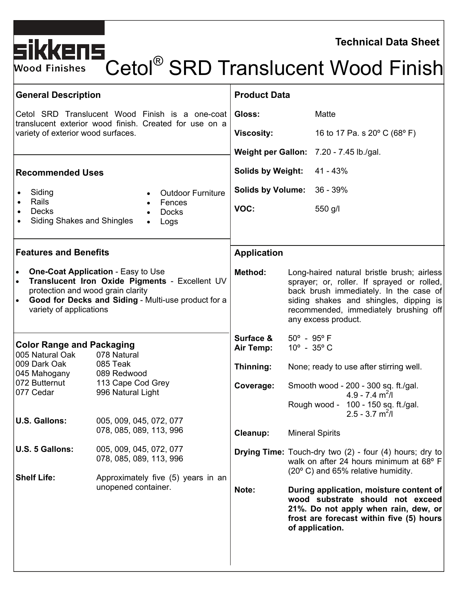**Technical Data Sheet** 

# Cetol<sup>®</sup> SRD Translucent Wood Finish

| <b>General Description</b>                                                                                                                                                                                                                                                                                                                                                                                                                      | <b>Product Data</b>                                                   |                                                                                                                                                                                                                                                                                                                                                                                                                                                                                                                                                                                                                          |
|-------------------------------------------------------------------------------------------------------------------------------------------------------------------------------------------------------------------------------------------------------------------------------------------------------------------------------------------------------------------------------------------------------------------------------------------------|-----------------------------------------------------------------------|--------------------------------------------------------------------------------------------------------------------------------------------------------------------------------------------------------------------------------------------------------------------------------------------------------------------------------------------------------------------------------------------------------------------------------------------------------------------------------------------------------------------------------------------------------------------------------------------------------------------------|
| Cetol SRD Translucent Wood Finish is a one-coat                                                                                                                                                                                                                                                                                                                                                                                                 | Gloss:                                                                | Matte                                                                                                                                                                                                                                                                                                                                                                                                                                                                                                                                                                                                                    |
| translucent exterior wood finish. Created for use on a<br>variety of exterior wood surfaces.                                                                                                                                                                                                                                                                                                                                                    | <b>Viscosity:</b>                                                     | 16 to 17 Pa. s 20° C (68° F)                                                                                                                                                                                                                                                                                                                                                                                                                                                                                                                                                                                             |
|                                                                                                                                                                                                                                                                                                                                                                                                                                                 |                                                                       | Weight per Gallon: 7.20 - 7.45 lb./gal.                                                                                                                                                                                                                                                                                                                                                                                                                                                                                                                                                                                  |
| <b>Recommended Uses</b>                                                                                                                                                                                                                                                                                                                                                                                                                         | <b>Solids by Weight:</b>                                              | 41 - 43%                                                                                                                                                                                                                                                                                                                                                                                                                                                                                                                                                                                                                 |
| Siding<br><b>Outdoor Furniture</b><br>$\bullet$                                                                                                                                                                                                                                                                                                                                                                                                 | <b>Solids by Volume:</b>                                              | $36 - 39%$                                                                                                                                                                                                                                                                                                                                                                                                                                                                                                                                                                                                               |
| Rails<br>Fences<br>$\bullet$<br><b>Decks</b><br><b>Docks</b><br>$\bullet$<br><b>Siding Shakes and Shingles</b><br>Logs                                                                                                                                                                                                                                                                                                                          | VOC:                                                                  | 550 g/l                                                                                                                                                                                                                                                                                                                                                                                                                                                                                                                                                                                                                  |
| <b>Features and Benefits</b>                                                                                                                                                                                                                                                                                                                                                                                                                    | <b>Application</b>                                                    |                                                                                                                                                                                                                                                                                                                                                                                                                                                                                                                                                                                                                          |
| <b>One-Coat Application - Easy to Use</b><br>Translucent Iron Oxide Pigments - Excellent UV<br>protection and wood grain clarity<br>Good for Decks and Siding - Multi-use product for a<br>variety of applications                                                                                                                                                                                                                              | Method:                                                               | Long-haired natural bristle brush; airless<br>sprayer; or, roller. If sprayed or rolled,<br>back brush immediately. In the case of<br>siding shakes and shingles, dipping is<br>recommended, immediately brushing off<br>any excess product.                                                                                                                                                                                                                                                                                                                                                                             |
| <b>Color Range and Packaging</b><br>005 Natural Oak<br>078 Natural<br>009 Dark Oak<br>085 Teak<br>045 Mahogany<br>089 Redwood<br>072 Butternut<br>113 Cape Cod Grey<br>996 Natural Light<br>077 Cedar<br>005, 009, 045, 072, 077<br><b>U.S. Gallons:</b><br>078, 085, 089, 113, 996<br>U.S. 5 Gallons:<br>005, 009, 045, 072, 077<br>078, 085, 089, 113, 996<br><b>Shelf Life:</b><br>Approximately five (5) years in an<br>unopened container. | Surface &<br>Air Temp:<br>Thinning:<br>Coverage:<br>Cleanup:<br>Note: | $50^{\circ}$ - 95° F<br>$10^{\circ}$ - 35 $^{\circ}$ C<br>None; ready to use after stirring well.<br>Smooth wood - 200 - 300 sq. ft./gal.<br>$4.9 - 7.4$ m <sup>2</sup> /l<br>100 - 150 sq. ft./gal.<br>Rough wood -<br>$2.5 - 3.7$ m <sup>2</sup> /l<br><b>Mineral Spirits</b><br><b>Drying Time:</b> Touch-dry two (2) - four (4) hours; dry to<br>walk on after 24 hours minimum at 68° F<br>(20° C) and 65% relative humidity.<br>During application, moisture content of<br>wood substrate should not exceed<br>21%. Do not apply when rain, dew, or<br>frost are forecast within five (5) hours<br>of application. |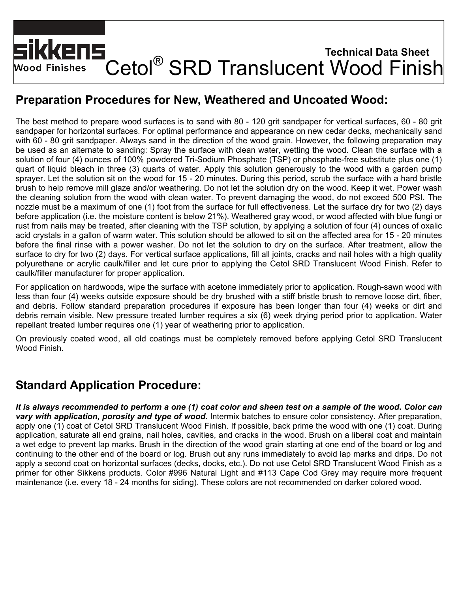# **Technical Data Sheet**  Cetol® SRD Translucent Wood Finish **Wood Finishes**

# **Preparation Procedures for New, Weathered and Uncoated Wood:**

The best method to prepare wood surfaces is to sand with 80 - 120 grit sandpaper for vertical surfaces, 60 - 80 grit sandpaper for horizontal surfaces. For optimal performance and appearance on new cedar decks, mechanically sand with 60 - 80 grit sandpaper. Always sand in the direction of the wood grain. However, the following preparation may be used as an alternate to sanding: Spray the surface with clean water, wetting the wood. Clean the surface with a solution of four (4) ounces of 100% powdered Tri-Sodium Phosphate (TSP) or phosphate-free substitute plus one (1) quart of liquid bleach in three (3) quarts of water. Apply this solution generously to the wood with a garden pump sprayer. Let the solution sit on the wood for 15 - 20 minutes. During this period, scrub the surface with a hard bristle brush to help remove mill glaze and/or weathering. Do not let the solution dry on the wood. Keep it wet. Power wash the cleaning solution from the wood with clean water. To prevent damaging the wood, do not exceed 500 PSI. The nozzle must be a maximum of one (1) foot from the surface for full effectiveness. Let the surface dry for two (2) days before application (i.e. the moisture content is below 21%). Weathered gray wood, or wood affected with blue fungi or rust from nails may be treated, after cleaning with the TSP solution, by applying a solution of four (4) ounces of oxalic acid crystals in a gallon of warm water. This solution should be allowed to sit on the affected area for 15 - 20 minutes before the final rinse with a power washer. Do not let the solution to dry on the surface. After treatment, allow the surface to dry for two (2) days. For vertical surface applications, fill all joints, cracks and nail holes with a high quality polyurethane or acrylic caulk/filler and let cure prior to applying the Cetol SRD Translucent Wood Finish. Refer to caulk/filler manufacturer for proper application.

For application on hardwoods, wipe the surface with acetone immediately prior to application. Rough-sawn wood with less than four (4) weeks outside exposure should be dry brushed with a stiff bristle brush to remove loose dirt, fiber, and debris. Follow standard preparation procedures if exposure has been longer than four (4) weeks or dirt and debris remain visible. New pressure treated lumber requires a six (6) week drying period prior to application. Water repellant treated lumber requires one (1) year of weathering prior to application.

On previously coated wood, all old coatings must be completely removed before applying Cetol SRD Translucent Wood Finish.

# **Standard Application Procedure:**

*It is always recommended to perform a one (1) coat color and sheen test on a sample of the wood***.** *Color can vary with application, porosity and type of wood.* Intermix batches to ensure color consistency. After preparation, apply one (1) coat of Cetol SRD Translucent Wood Finish. If possible, back prime the wood with one (1) coat. During application, saturate all end grains, nail holes, cavities, and cracks in the wood. Brush on a liberal coat and maintain a wet edge to prevent lap marks. Brush in the direction of the wood grain starting at one end of the board or log and continuing to the other end of the board or log. Brush out any runs immediately to avoid lap marks and drips. Do not apply a second coat on horizontal surfaces (decks, docks, etc.). Do not use Cetol SRD Translucent Wood Finish as a primer for other Sikkens products. Color #996 Natural Light and #113 Cape Cod Grey may require more frequent maintenance (i.e. every 18 - 24 months for siding). These colors are not recommended on darker colored wood.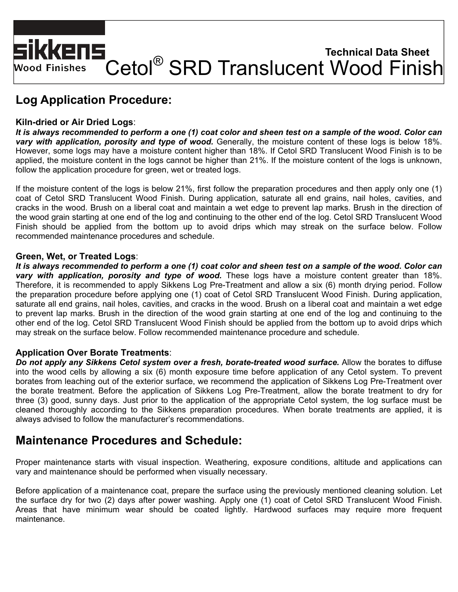# SIKKENS<br>Wood Finishes Cetol® SRD Translucent Wood Finish **Technical Data Sheet**  Wood Finishes

# **Log Application Procedure:**

#### **Kiln-dried or Air Dried Logs**:

*It is always recommended to perform a one (1) coat color and sheen test on a sample of the wood***.** *Color can vary with application, porosity and type of wood.* Generally, the moisture content of these logs is below 18%. However, some logs may have a moisture content higher than 18%. If Cetol SRD Translucent Wood Finish is to be applied, the moisture content in the logs cannot be higher than 21%. If the moisture content of the logs is unknown, follow the application procedure for green, wet or treated logs.

If the moisture content of the logs is below 21%, first follow the preparation procedures and then apply only one (1) coat of Cetol SRD Translucent Wood Finish. During application, saturate all end grains, nail holes, cavities, and cracks in the wood. Brush on a liberal coat and maintain a wet edge to prevent lap marks. Brush in the direction of the wood grain starting at one end of the log and continuing to the other end of the log. Cetol SRD Translucent Wood Finish should be applied from the bottom up to avoid drips which may streak on the surface below. Follow recommended maintenance procedures and schedule.

#### **Green, Wet, or Treated Logs**:

*It is always recommended to perform a one (1) coat color and sheen test on a sample of the wood***.** *Color can vary with application, porosity and type of wood.* These logs have a moisture content greater than 18%. Therefore, it is recommended to apply Sikkens Log Pre-Treatment and allow a six (6) month drying period. Follow the preparation procedure before applying one (1) coat of Cetol SRD Translucent Wood Finish. During application, saturate all end grains, nail holes, cavities, and cracks in the wood. Brush on a liberal coat and maintain a wet edge to prevent lap marks. Brush in the direction of the wood grain starting at one end of the log and continuing to the other end of the log. Cetol SRD Translucent Wood Finish should be applied from the bottom up to avoid drips which may streak on the surface below. Follow recommended maintenance procedure and schedule.

#### **Application Over Borate Treatments**:

*Do not apply any Sikkens Cetol system over a fresh, borate-treated wood surface.* Allow the borates to diffuse into the wood cells by allowing a six (6) month exposure time before application of any Cetol system. To prevent borates from leaching out of the exterior surface, we recommend the application of Sikkens Log Pre-Treatment over the borate treatment. Before the application of Sikkens Log Pre-Treatment, allow the borate treatment to dry for three (3) good, sunny days. Just prior to the application of the appropriate Cetol system, the log surface must be cleaned thoroughly according to the Sikkens preparation procedures. When borate treatments are applied, it is always advised to follow the manufacturer's recommendations.

### **Maintenance Procedures and Schedule:**

Proper maintenance starts with visual inspection. Weathering, exposure conditions, altitude and applications can vary and maintenance should be performed when visually necessary.

Before application of a maintenance coat, prepare the surface using the previously mentioned cleaning solution. Let the surface dry for two (2) days after power washing. Apply one (1) coat of Cetol SRD Translucent Wood Finish. Areas that have minimum wear should be coated lightly. Hardwood surfaces may require more frequent maintenance.